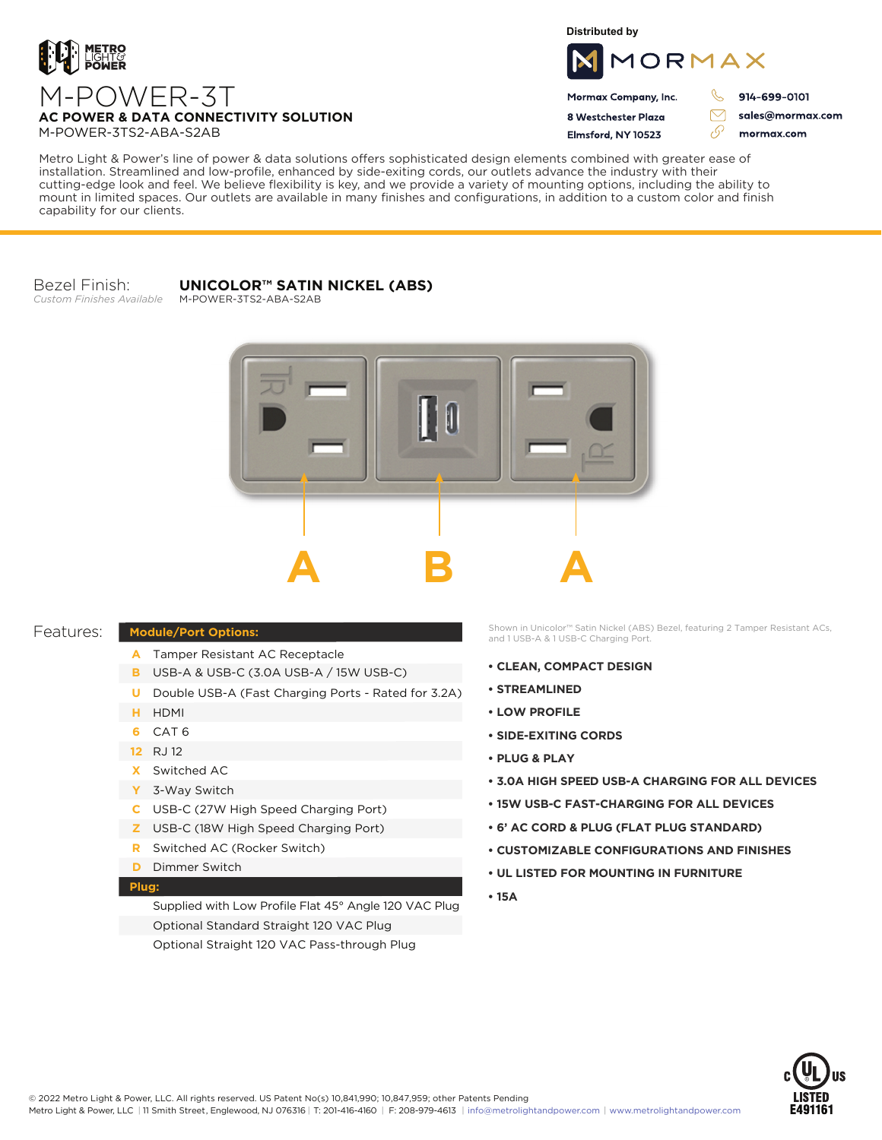

**Distributed by**



Mormax Company, Inc. 8 Westchester Plaza

Elmsford, NY 10523

914-699-0101

sales@mormax.com mormax.com

M-POWER-3TS2-ABA-S2AB

M-POWER-3T

Metro Light & Power's line of power & data solutions offers sophisticated design elements combined with greater ease of installation. Streamlined and low-profile, enhanced by side-exiting cords, our outlets advance the industry with their cutting-edge look and feel. We believe flexibility is key, and we provide a variety of mounting options, including the ability to mount in limited spaces. Our outlets are available in many finishes and configurations, in addition to a custom color and finish capability for our clients.

Bezel Finish: *Custom Finishes Available*

## **UNICOLOR™ SATIN NICKEL (ABS)**

M-POWER-3TS2-ABA-S2AB

**AC POWER & DATA CONNECTIVITY SOLUTION**



## Features:

- A Tamper Resistant AC Receptacle
- USB-A & USB-C (3.0A USB-A / 15W USB-C) **B**
- U Double USB-A (Fast Charging Ports Rated for 3.2A)
- HDMI **H**
- CAT 6 **6**
- 12 RJ 12
- Switched AC **X**
- 3-Way Switch **Y**
- USB-C (27W High Speed Charging Port) **C**
- USB-C (18W High Speed Charging Port) **Z**
- Switched AC (Rocker Switch) **R**
- **D** Dimmer Switch

## **Plug:**

Supplied with Low Profile Flat 45° Angle 120 VAC Plug Optional Standard Straight 120 VAC Plug Optional Straight 120 VAC Pass-through Plug

**Module/Port Options:**<br>and 1 USB-A & 1 USB-C Charging Port.<br>and 1 USB-A & 1 USB-C Charging Port.

- **CLEAN, COMPACT DESIGN**
- **STREAMLINED**
- **LOW PROFILE**
- **SIDE-EXITING CORDS**
- **PLUG & PLAY**
- **3.0A HIGH SPEED USB-A CHARGING FOR ALL DEVICES**
- **15W USB-C FAST-CHARGING FOR ALL DEVICES**
- **6' AC CORD & PLUG (FLAT PLUG STANDARD)**
- **CUSTOMIZABLE CONFIGURATIONS AND FINISHES**
- **UL LISTED FOR MOUNTING IN FURNITURE**
- **15A**